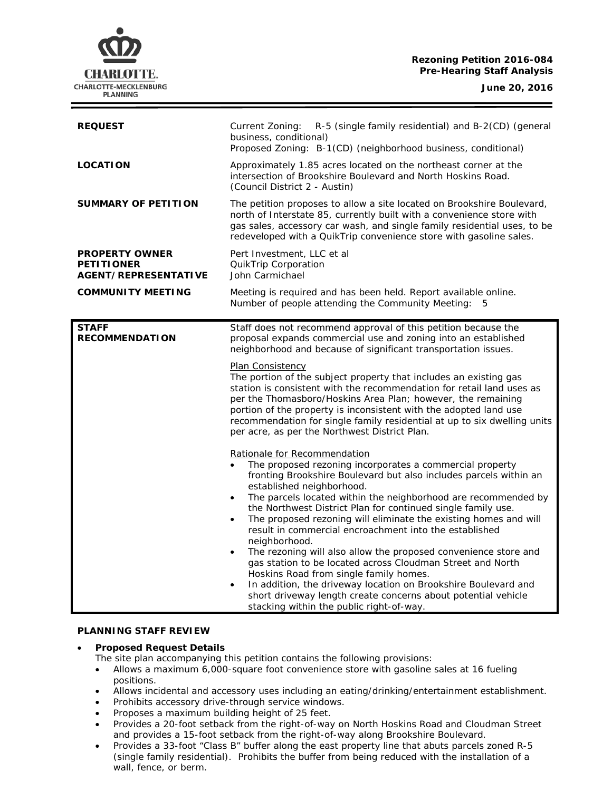### **Rezoning Petition 2016-084 Pre-Hearing Staff Analysis**

**CHARLOTTE.** CHARLOTTE-MECKLENBURG **PLANNING** 

| <b>REQUEST</b>                                                            | Current Zoning:<br>R-5 (single family residential) and B-2(CD) (general<br>business, conditional)<br>Proposed Zoning: B-1(CD) (neighborhood business, conditional)                                                                                                                                                                                                                                                                                                                                                                                                                                                                                                                                                                                                                                                                                                                                                                                                                                                                                                                                                                                                                                                                                                                                                                                                                                                            |
|---------------------------------------------------------------------------|-------------------------------------------------------------------------------------------------------------------------------------------------------------------------------------------------------------------------------------------------------------------------------------------------------------------------------------------------------------------------------------------------------------------------------------------------------------------------------------------------------------------------------------------------------------------------------------------------------------------------------------------------------------------------------------------------------------------------------------------------------------------------------------------------------------------------------------------------------------------------------------------------------------------------------------------------------------------------------------------------------------------------------------------------------------------------------------------------------------------------------------------------------------------------------------------------------------------------------------------------------------------------------------------------------------------------------------------------------------------------------------------------------------------------------|
| <b>LOCATION</b>                                                           | Approximately 1.85 acres located on the northeast corner at the<br>intersection of Brookshire Boulevard and North Hoskins Road.<br>(Council District 2 - Austin)                                                                                                                                                                                                                                                                                                                                                                                                                                                                                                                                                                                                                                                                                                                                                                                                                                                                                                                                                                                                                                                                                                                                                                                                                                                              |
| <b>SUMMARY OF PETITION</b>                                                | The petition proposes to allow a site located on Brookshire Boulevard,<br>north of Interstate 85, currently built with a convenience store with<br>gas sales, accessory car wash, and single family residential uses, to be<br>redeveloped with a QuikTrip convenience store with gasoline sales.                                                                                                                                                                                                                                                                                                                                                                                                                                                                                                                                                                                                                                                                                                                                                                                                                                                                                                                                                                                                                                                                                                                             |
| <b>PROPERTY OWNER</b><br><b>PETITIONER</b><br><b>AGENT/REPRESENTATIVE</b> | Pert Investment, LLC et al<br>QuikTrip Corporation<br>John Carmichael                                                                                                                                                                                                                                                                                                                                                                                                                                                                                                                                                                                                                                                                                                                                                                                                                                                                                                                                                                                                                                                                                                                                                                                                                                                                                                                                                         |
| <b>COMMUNITY MEETING</b>                                                  | Meeting is required and has been held. Report available online.<br>Number of people attending the Community Meeting:<br>5                                                                                                                                                                                                                                                                                                                                                                                                                                                                                                                                                                                                                                                                                                                                                                                                                                                                                                                                                                                                                                                                                                                                                                                                                                                                                                     |
| <b>RECOMMENDATION</b>                                                     | Staff does not recommend approval of this petition because the<br>proposal expands commercial use and zoning into an established<br>neighborhood and because of significant transportation issues.<br><b>Plan Consistency</b><br>The portion of the subject property that includes an existing gas<br>station is consistent with the recommendation for retail land uses as<br>per the Thomasboro/Hoskins Area Plan; however, the remaining<br>portion of the property is inconsistent with the adopted land use<br>recommendation for single family residential at up to six dwelling units<br>per acre, as per the Northwest District Plan.<br>Rationale for Recommendation<br>The proposed rezoning incorporates a commercial property<br>fronting Brookshire Boulevard but also includes parcels within an<br>established neighborhood.<br>The parcels located within the neighborhood are recommended by<br>$\bullet$<br>the Northwest District Plan for continued single family use.<br>The proposed rezoning will eliminate the existing homes and will<br>$\bullet$<br>result in commercial encroachment into the established<br>neighborhood.<br>The rezoning will also allow the proposed convenience store and<br>$\bullet$<br>gas station to be located across Cloudman Street and North<br>Hoskins Road from single family homes.<br>In addition, the driveway location on Brookshire Boulevard and<br>$\bullet$ |
|                                                                           | short driveway length create concerns about potential vehicle<br>stacking within the public right-of-way.                                                                                                                                                                                                                                                                                                                                                                                                                                                                                                                                                                                                                                                                                                                                                                                                                                                                                                                                                                                                                                                                                                                                                                                                                                                                                                                     |

#### **PLANNING STAFF REVIEW**

## • **Proposed Request Details**

The site plan accompanying this petition contains the following provisions:

- Allows a maximum 6,000-square foot convenience store with gasoline sales at 16 fueling positions.
- Allows incidental and accessory uses including an eating/drinking/entertainment establishment.
- Prohibits accessory drive-through service windows.
- Proposes a maximum building height of 25 feet.
- Provides a 20-foot setback from the right-of-way on North Hoskins Road and Cloudman Street and provides a 15-foot setback from the right-of-way along Brookshire Boulevard.
- Provides a 33-foot "Class B" buffer along the east property line that abuts parcels zoned R-5 (single family residential). Prohibits the buffer from being reduced with the installation of a wall, fence, or berm.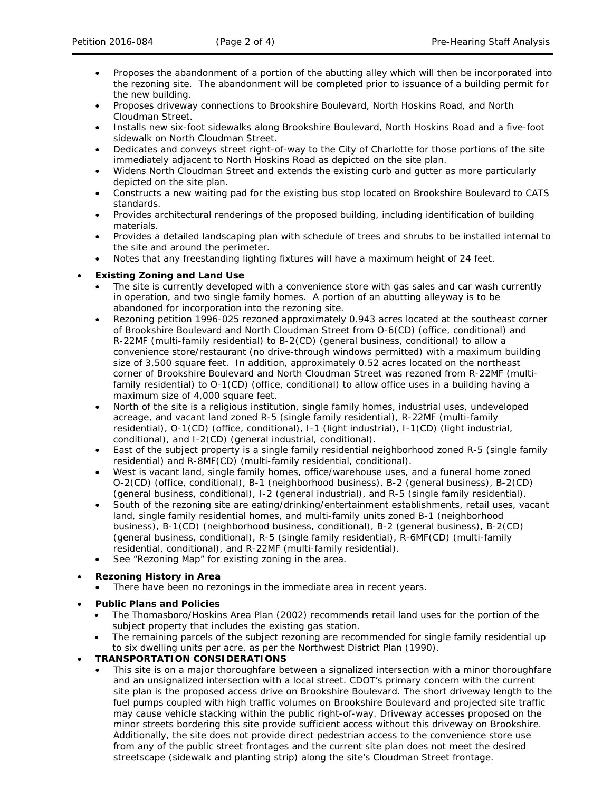- Proposes the abandonment of a portion of the abutting alley which will then be incorporated into the rezoning site. The abandonment will be completed prior to issuance of a building permit for the new building.
- Proposes driveway connections to Brookshire Boulevard, North Hoskins Road, and North Cloudman Street.
- Installs new six-foot sidewalks along Brookshire Boulevard, North Hoskins Road and a five-foot sidewalk on North Cloudman Street.
- Dedicates and conveys street right-of-way to the City of Charlotte for those portions of the site immediately adjacent to North Hoskins Road as depicted on the site plan.
- Widens North Cloudman Street and extends the existing curb and gutter as more particularly depicted on the site plan.
- Constructs a new waiting pad for the existing bus stop located on Brookshire Boulevard to CATS standards.
- Provides architectural renderings of the proposed building, including identification of building materials.
- Provides a detailed landscaping plan with schedule of trees and shrubs to be installed internal to the site and around the perimeter.
- Notes that any freestanding lighting fixtures will have a maximum height of 24 feet.

## • **Existing Zoning and Land Use**

- The site is currently developed with a convenience store with gas sales and car wash currently in operation, and two single family homes. A portion of an abutting alleyway is to be abandoned for incorporation into the rezoning site.
- Rezoning petition 1996-025 rezoned approximately 0.943 acres located at the southeast corner of Brookshire Boulevard and North Cloudman Street from O-6(CD) (office, conditional) and R-22MF (multi-family residential) to B-2(CD) (general business, conditional) to allow a convenience store/restaurant (no drive-through windows permitted) with a maximum building size of 3,500 square feet. In addition, approximately 0.52 acres located on the northeast corner of Brookshire Boulevard and North Cloudman Street was rezoned from R-22MF (multifamily residential) to O-1(CD) (office, conditional) to allow office uses in a building having a maximum size of 4,000 square feet.
- North of the site is a religious institution, single family homes, industrial uses, undeveloped acreage, and vacant land zoned R-5 (single family residential), R-22MF (multi-family residential), O-1(CD) (office, conditional), I-1 (light industrial), I-1(CD) (light industrial, conditional), and I-2(CD) (general industrial, conditional).
- East of the subject property is a single family residential neighborhood zoned R-5 (single family residential) and R-8MF(CD) (multi-family residential, conditional).
- West is vacant land, single family homes, office/warehouse uses, and a funeral home zoned O-2(CD) (office, conditional), B-1 (neighborhood business), B-2 (general business), B-2(CD) (general business, conditional), I-2 (general industrial), and R-5 (single family residential).
- South of the rezoning site are eating/drinking/entertainment establishments, retail uses, vacant land, single family residential homes, and multi-family units zoned B-1 (neighborhood business), B-1(CD) (neighborhood business, conditional), B-2 (general business), B-2(CD) (general business, conditional), R-5 (single family residential), R-6MF(CD) (multi-family residential, conditional), and R-22MF (multi-family residential).
- See "Rezoning Map" for existing zoning in the area.

## • **Rezoning History in Area**

- There have been no rezonings in the immediate area in recent years.
- **Public Plans and Policies**
	- The *Thomasboro/Hoskins Area Plan* (2002) recommends retail land uses for the portion of the subject property that includes the existing gas station.
	- The remaining parcels of the subject rezoning are recommended for single family residential up to six dwelling units per acre, as per the *Northwest District Plan* (1990).
- **TRANSPORTATION CONSIDERATIONS**
	- This site is on a major thoroughfare between a signalized intersection with a minor thoroughfare and an unsignalized intersection with a local street. CDOT's primary concern with the current site plan is the proposed access drive on Brookshire Boulevard. The short driveway length to the fuel pumps coupled with high traffic volumes on Brookshire Boulevard and projected site traffic may cause vehicle stacking within the public right-of-way. Driveway accesses proposed on the minor streets bordering this site provide sufficient access without this driveway on Brookshire. Additionally, the site does not provide direct pedestrian access to the convenience store use from any of the public street frontages and the current site plan does not meet the desired streetscape (sidewalk and planting strip) along the site's Cloudman Street frontage.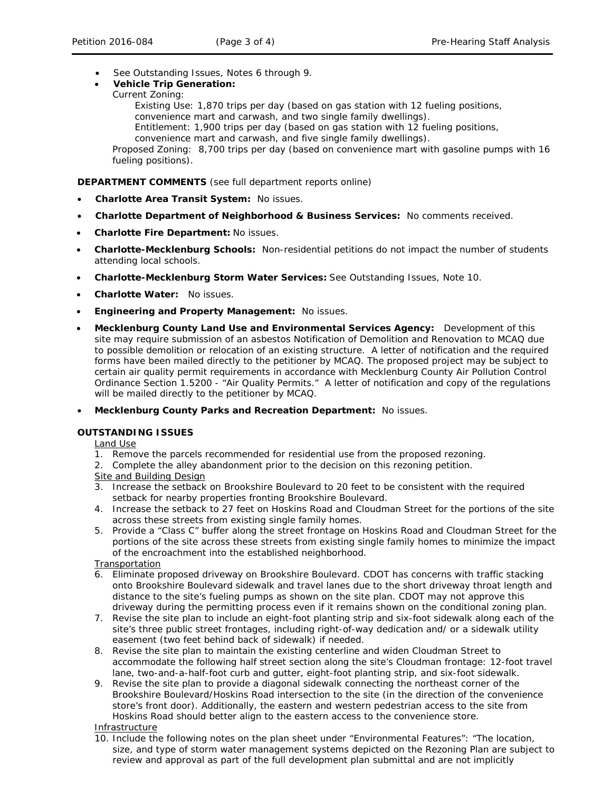- See Outstanding Issues, Notes 6 through 9.
- **Vehicle Trip Generation:**
	- Current Zoning:

Existing Use: 1,870 trips per day (based on gas station with 12 fueling positions, convenience mart and carwash, and two single family dwellings). Entitlement: 1,900 trips per day (based on gas station with 12 fueling positions, convenience mart and carwash, and five single family dwellings). Proposed Zoning: 8,700 trips per day (based on convenience mart with gasoline pumps with 16 fueling positions).

**DEPARTMENT COMMENTS** (see full department reports online)

- **Charlotte Area Transit System:** No issues.
- **Charlotte Department of Neighborhood & Business Services:** No comments received.
- **Charlotte Fire Department:** No issues.
- **Charlotte-Mecklenburg Schools:** Non-residential petitions do not impact the number of students attending local schools.
- **Charlotte-Mecklenburg Storm Water Services:** See Outstanding Issues, Note 10.
- **Charlotte Water:** No issues.
- **Engineering and Property Management:** No issues.
- **Mecklenburg County Land Use and Environmental Services Agency:** Development of this site may require submission of an asbestos Notification of Demolition and Renovation to MCAQ due to possible demolition or relocation of an existing structure. A letter of notification and the required forms have been mailed directly to the petitioner by MCAQ. The proposed project may be subject to certain air quality permit requirements in accordance with Mecklenburg County Air Pollution Control Ordinance Section 1.5200 - "Air Quality Permits." A letter of notification and copy of the regulations will be mailed directly to the petitioner by MCAQ.
- **Mecklenburg County Parks and Recreation Department:** No issues.

## **OUTSTANDING ISSUES**

Land Use

- 1. Remove the parcels recommended for residential use from the proposed rezoning.
- 2. Complete the alley abandonment prior to the decision on this rezoning petition.
- Site and Building Design
- 3. Increase the setback on Brookshire Boulevard to 20 feet to be consistent with the required setback for nearby properties fronting Brookshire Boulevard.
- 4. Increase the setback to 27 feet on Hoskins Road and Cloudman Street for the portions of the site across these streets from existing single family homes.
- 5. Provide a "Class C" buffer along the street frontage on Hoskins Road and Cloudman Street for the portions of the site across these streets from existing single family homes to minimize the impact of the encroachment into the established neighborhood.

#### **Transportation**

- 6. Eliminate proposed driveway on Brookshire Boulevard. CDOT has concerns with traffic stacking onto Brookshire Boulevard sidewalk and travel lanes due to the short driveway throat length and distance to the site's fueling pumps as shown on the site plan. CDOT may not approve this driveway during the permitting process even if it remains shown on the conditional zoning plan.
- 7. Revise the site plan to include an eight-foot planting strip and six-foot sidewalk along each of the site's three public street frontages, including right-of-way dedication and/ or a sidewalk utility easement (two feet behind back of sidewalk) if needed.
- 8. Revise the site plan to maintain the existing centerline and widen Cloudman Street to accommodate the following half street section along the site's Cloudman frontage: 12-foot travel lane, two-and-a-half-foot curb and gutter, eight-foot planting strip, and six-foot sidewalk.
- 9. Revise the site plan to provide a diagonal sidewalk connecting the northeast corner of the Brookshire Boulevard/Hoskins Road intersection to the site (in the direction of the convenience store's front door). Additionally, the eastern and western pedestrian access to the site from Hoskins Road should better align to the eastern access to the convenience store.

### Infrastructure

10. Include the following notes on the plan sheet under "Environmental Features": "The location, size, and type of storm water management systems depicted on the Rezoning Plan are subject to review and approval as part of the full development plan submittal and are not implicitly